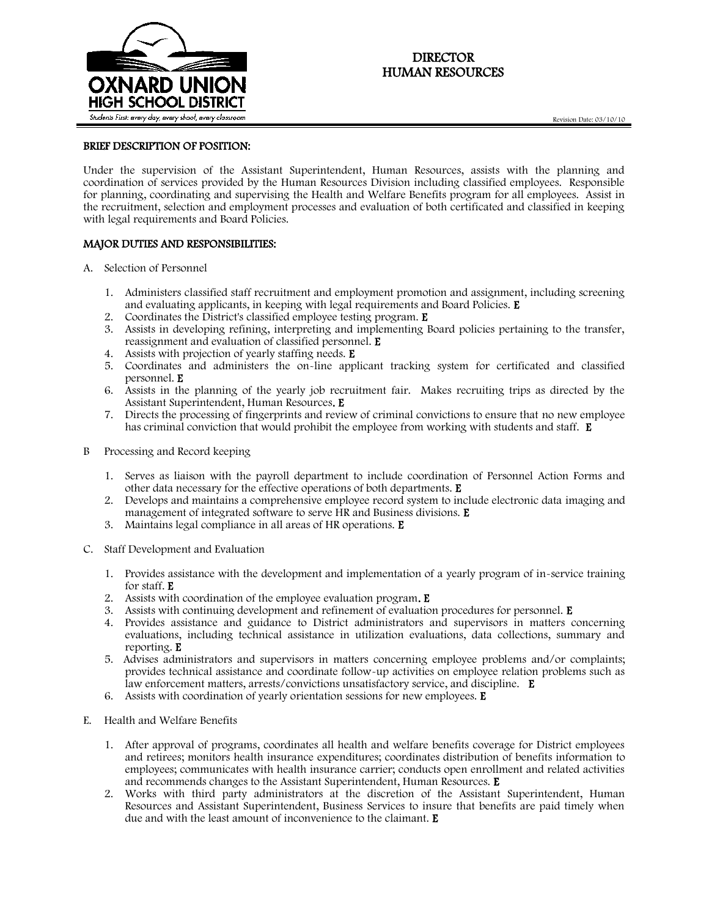

# DIRECTOR HUMAN RESOURCES

### BRIEF DESCRIPTION OF POSITION:

Under the supervision of the Assistant Superintendent, Human Resources, assists with the planning and coordination of services provided by the Human Resources Division including classified employees. Responsible for planning, coordinating and supervising the Health and Welfare Benefits program for all employees. Assist in the recruitment, selection and employment processes and evaluation of both certificated and classified in keeping with legal requirements and Board Policies.

#### MAJOR DUTIES AND RESPONSIBILITIES:

- A. Selection of Personnel
	- 1. Administers classified staff recruitment and employment promotion and assignment, including screening and evaluating applicants, in keeping with legal requirements and Board Policies. E
	- 2. Coordinates the District's classified employee testing program. E
	- 3. Assists in developing refining, interpreting and implementing Board policies pertaining to the transfer, reassignment and evaluation of classified personnel. E
	- 4. Assists with projection of yearly staffing needs. E
	- 5. Coordinates and administers the on-line applicant tracking system for certificated and classified personnel. E
	- 6. Assists in the planning of the yearly job recruitment fair. Makes recruiting trips as directed by the Assistant Superintendent, Human Resources. E
	- 7. Directs the processing of fingerprints and review of criminal convictions to ensure that no new employee has criminal conviction that would prohibit the employee from working with students and staff. E
- B Processing and Record keeping
	- 1. Serves as liaison with the payroll department to include coordination of Personnel Action Forms and other data necessary for the effective operations of both departments. E
	- 2. Develops and maintains a comprehensive employee record system to include electronic data imaging and management of integrated software to serve HR and Business divisions. E
	- 3. Maintains legal compliance in all areas of HR operations. E
- C. Staff Development and Evaluation
	- 1. Provides assistance with the development and implementation of a yearly program of in-service training for staff. E
	- 2. Assists with coordination of the employee evaluation program. E
	- 3. Assists with continuing development and refinement of evaluation procedures for personnel. E
	- 4. Provides assistance and guidance to District administrators and supervisors in matters concerning evaluations, including technical assistance in utilization evaluations, data collections, summary and reporting. E
	- 5. Advises administrators and supervisors in matters concerning employee problems and/or complaints; provides technical assistance and coordinate follow-up activities on employee relation problems such as law enforcement matters, arrests/convictions unsatisfactory service, and discipline. E
	- 6. Assists with coordination of yearly orientation sessions for new employees. E
- E. Health and Welfare Benefits
	- 1. After approval of programs, coordinates all health and welfare benefits coverage for District employees and retirees; monitors health insurance expenditures; coordinates distribution of benefits information to employees; communicates with health insurance carrier; conducts open enrollment and related activities and recommends changes to the Assistant Superintendent, Human Resources. E
	- 2. Works with third party administrators at the discretion of the Assistant Superintendent, Human Resources and Assistant Superintendent, Business Services to insure that benefits are paid timely when due and with the least amount of inconvenience to the claimant. E